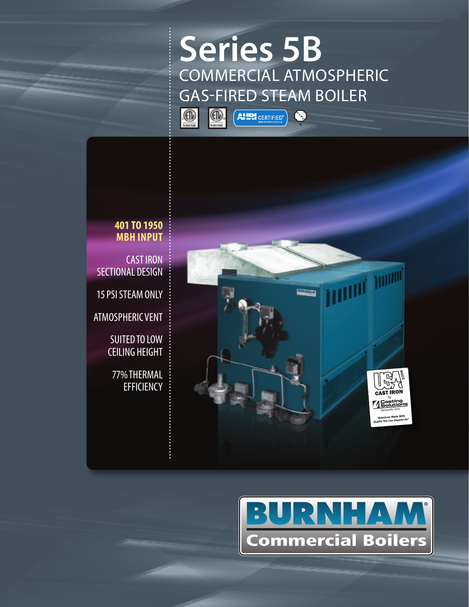# **Series 5B** COMMERCIAL ATMOSPHERIC GAS-FIRED STEAM BOILER

 $\begin{pmatrix} 1 \\ 1 \\ 0 \end{pmatrix}$ 



**AHRI** CERTIFIED®



**401 TO 1950 MBH INPUT**

CAST IRON SECTIONAL DESIGN

15 PSI STEAM ONLY

ATMOSPHERIC VENT

SUITED TO LOW CEILING HEIGHT

77% THERMAL **EFFICIENCY** 

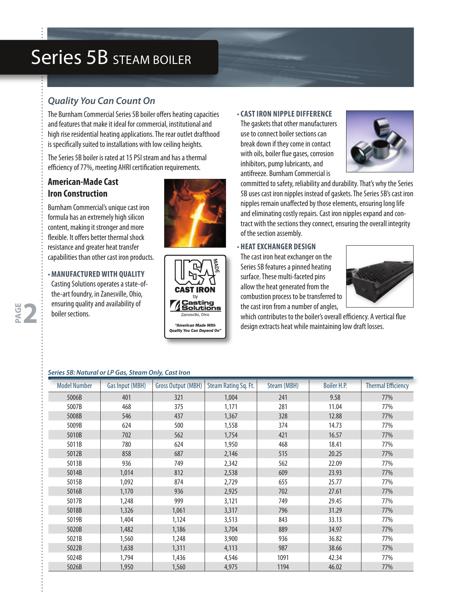## Series 5B STEAM BOILER

## *Quality You Can Count On*

The Burnham Commercial Series 5B boiler offers heating capacities and features that make it ideal for commercial, institutional and high rise residential heating applications. The rear outlet drafthood is specifically suited to installations with low ceiling heights.

The Series 5B boiler is rated at 15 PSI steam and has a thermal efficiency of 77%, meeting AHRI certification requirements.

## **American-Made Cast Iron Construction**

Burnham Commercial's unique cast iron formula has an extremely high silicon content, making it stronger and more flexible. It offers better thermal shock resistance and greater heat transfer capabilities than other cast iron products.

#### • **MANUFACTURED WITH QUALITY**

Casting Solutions operates a state-ofthe-art foundry, in Zanesville, Ohio, ensuring quality and availability of boiler sections.

**PAGE 2**





#### • **CAST IRON NIPPLE DIFFERENCE**

The gaskets that other manufacturers use to connect boiler sections can break down if they come in contact with oils, boiler flue gases, corrosion inhibitors, pump lubricants, and antifreeze. Burnham Commercial is



committed to safety, reliability and durability. That's why the Series 5B uses cast iron nipples instead of gaskets. The Series 5B's cast iron nipples remain unaffected by those elements, ensuring long life and eliminating costly repairs. Cast iron nipples expand and contract with the sections they connect, ensuring the overall integrity of the section assembly.

#### • **HEAT EXCHANGER DESIGN**

The cast iron heat exchanger on the Series 5B features a pinned heating surface. These multi-faceted pins allow the heat generated from the combustion process to be transferred to the cast iron from a number of angles,



which contributes to the boiler's overall efficiency. A vertical flue design extracts heat while maintaining low draft losses.

| Series 5B: Natural or LP Gas, Steam Only, Cast Iron |  |  |
|-----------------------------------------------------|--|--|
|                                                     |  |  |

| <b>Model Number</b> | Gas Input (MBH) | <b>Gross Output (MBH)</b> | Steam Rating Sq. Ft. | Steam (MBH) | <b>Boiler H.P.</b> | <b>Thermal Efficiency</b> |
|---------------------|-----------------|---------------------------|----------------------|-------------|--------------------|---------------------------|
| 5006B               | 401             | 321                       | 1,004                | 241         | 9.58               | 77%                       |
| 5007B               | 468             | 375                       | 1,171                | 281         | 11.04              | 77%                       |
| 5008B               | 546             | 437                       | 1,367                | 328         | 12.88              | 77%                       |
| 5009B               | 624             | 500                       | 1,558                | 374         | 14.73              | 77%                       |
| 5010B               | 702             | 562                       | 1,754                | 421         | 16.57              | 77%                       |
| 5011B               | 780             | 624                       | 1,950                | 468         | 18.41              | 77%                       |
| 5012B               | 858             | 687                       | 2,146                | 515         | 20.25              | 77%                       |
| 5013B               | 936             | 749                       | 2,342                | 562         | 22.09              | 77%                       |
| 5014B               | 1,014           | 812                       | 2,538                | 609         | 23.93              | 77%                       |
| 5015B               | 1,092           | 874                       | 2,729                | 655         | 25.77              | 77%                       |
| 5016B               | 1,170           | 936                       | 2,925                | 702         | 27.61              | 77%                       |
| 5017B               | 1,248           | 999                       | 3,121                | 749         | 29.45              | 77%                       |
| 5018B               | 1,326           | 1,061                     | 3,317                | 796         | 31.29              | 77%                       |
| 5019B               | 1,404           | 1,124                     | 3,513                | 843         | 33.13              | 77%                       |
| 5020B               | 1,482           | 1,186                     | 3,704                | 889         | 34.97              | 77%                       |
| 5021B               | 1,560           | 1,248                     | 3,900                | 936         | 36.82              | 77%                       |
| 5022B               | 1,638           | 1,311                     | 4,113                | 987         | 38.66              | 77%                       |
| 5024B               | 1,794           | 1,436                     | 4,546                | 1091        | 42.34              | 77%                       |
| 5026B               | 1,950           | 1,560                     | 4,975                | 1194        | 46.02              | 77%                       |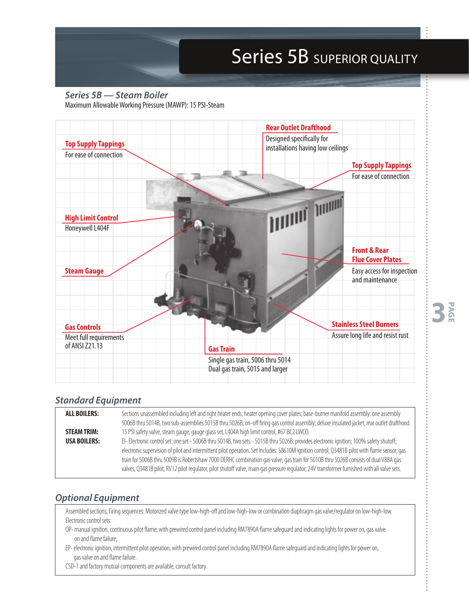# Series 5B SUPERIOR QUALITY

**3 PAGE**

*Series 5B — Steam Boiler* Maximum Allowable Working Pressure (MAWP): 15 PSI-Steam



### *Standard Equipment*

| <b>ALL BOILERS:</b> | Sections unassembled including left and right heater ends; heater opening cover plates; base-burner manifold assembly: one assembly<br>5006B thru 5014B, two sub-assemblies 5015B thru 5026B; on-off firing gas control assembly; deluxe insulated jacket; rear outlet drafthood. |  |  |  |  |  |
|---------------------|-----------------------------------------------------------------------------------------------------------------------------------------------------------------------------------------------------------------------------------------------------------------------------------|--|--|--|--|--|
|                     |                                                                                                                                                                                                                                                                                   |  |  |  |  |  |
| <b>STEAM TRIM:</b>  | 15 PSI safety valve, steam gauge, gauge glass set, L404A high limit control, #67 BC2 LWCO.                                                                                                                                                                                        |  |  |  |  |  |
| <b>USA BOILERS:</b> | El- Electronic control set: one set - 5006B thru 5014B, two sets - 5015B thru 5026B; provides electronic ignition; 100% safety shutoff;                                                                                                                                           |  |  |  |  |  |
|                     | electronic supervision of pilot and intermittent pilot operation. Set includes: S8610M ignition control; Q3481B pilot with flame sensor; qas                                                                                                                                      |  |  |  |  |  |
|                     | train for 5006B thru 5009B is Robertshaw 7000 DERHC combination gas valve; gas train for 5010B thru 5026B consists of dual V88A gas                                                                                                                                               |  |  |  |  |  |
|                     | valves, Q3481B pilot, RV12 pilot requlator, pilot shutoff valve, main qas pressure requlator; 24V transformer furnished with all valve sets.                                                                                                                                      |  |  |  |  |  |

### *Optional Equipment*

Assembled sections; Firing sequences: Motorized valve type low-high-off and low-high-low or combination diaphragm gas valve/regulator on low-high-low. Electronic control sets:

- OP- manual ignition, continuous pilot flame, with prewired control panel including RM7890A flame safeguard and indicating lights for power on, gas valve on and flame failure;
- EP- electronic ignition, intermittent pilot operation, with prewired control panel including RM7890A flame safeguard and indicating lights for power on, gas valve on and flame failure.
- CSD-1 and factory mutual components are available, consult factory.